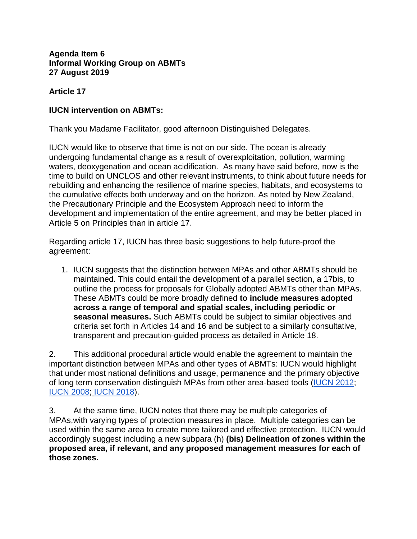## **Agenda Item 6 Informal Working Group on ABMTs 27 August 2019**

## **Article 17**

## **IUCN intervention on ABMTs:**

Thank you Madame Facilitator, good afternoon Distinguished Delegates.

IUCN would like to observe that time is not on our side. The ocean is already undergoing fundamental change as a result of overexploitation, pollution, warming waters, deoxygenation and ocean acidification. As many have said before, now is the time to build on UNCLOS and other relevant instruments, to think about future needs for rebuilding and enhancing the resilience of marine species, habitats, and ecosystems to the cumulative effects both underway and on the horizon. As noted by New Zealand, the Precautionary Principle and the Ecosystem Approach need to inform the development and implementation of the entire agreement, and may be better placed in Article 5 on Principles than in article 17.

Regarding article 17, IUCN has three basic suggestions to help future-proof the agreement:

1. IUCN suggests that the distinction between MPAs and other ABMTs should be maintained. This could entail the development of a parallel section, a 17bis, to outline the process for proposals for Globally adopted ABMTs other than MPAs. These ABMTs could be more broadly defined **to include measures adopted across a range of temporal and spatial scales, including periodic or seasonal measures.** Such ABMTs could be subject to similar objectives and criteria set forth in Articles 14 and 16 and be subject to a similarly consultative, transparent and precaution-guided process as detailed in Article 18.

2. This additional procedural article would enable the agreement to maintain the important distinction between MPAs and other types of ABMTs: IUCN would highlight that under most national definitions and usage, permanence and the primary objective of long term conservation distinguish MPAs from other area-based tools [\(IUCN 2012;](https://portals.iucn.org/library/sites/library/files/documents/PAG-019.pdf) [IUCN 2008;](https://cmsdata.iucn.org/downloads/iucn_categoriesmpa_eng.pdf) [IUCN 2018\)](https://www.iucn.org/sites/dev/files/content/documents/applying_mpa_global_standards_v120218_nk_v2.pdf).

3. At the same time, IUCN notes that there may be multiple categories of MPAs,with varying types of protection measures in place. Multiple categories can be used within the same area to create more tailored and effective protection. IUCN would accordingly suggest including a new subpara (h) **(bis) Delineation of zones within the proposed area, if relevant, and any proposed management measures for each of those zones.**